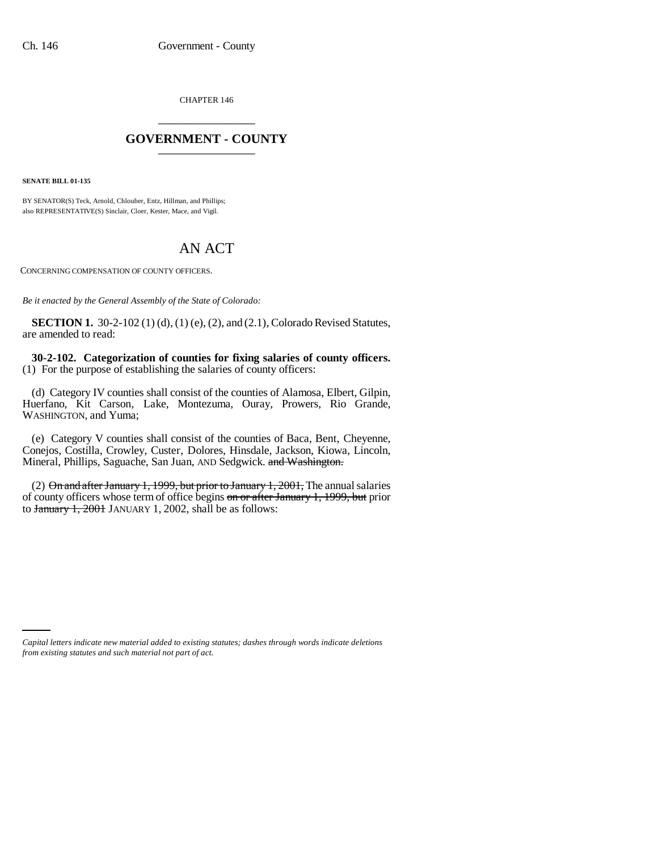CHAPTER 146 \_\_\_\_\_\_\_\_\_\_\_\_\_\_\_

## **GOVERNMENT - COUNTY** \_\_\_\_\_\_\_\_\_\_\_\_\_\_\_

**SENATE BILL 01-135**

BY SENATOR(S) Teck, Arnold, Chlouber, Entz, Hillman, and Phillips; also REPRESENTATIVE(S) Sinclair, Cloer, Kester, Mace, and Vigil.

## AN ACT

CONCERNING COMPENSATION OF COUNTY OFFICERS.

*Be it enacted by the General Assembly of the State of Colorado:*

**SECTION 1.** 30-2-102 (1) (d), (1) (e), (2), and (2.1), Colorado Revised Statutes, are amended to read:

**30-2-102. Categorization of counties for fixing salaries of county officers.** (1) For the purpose of establishing the salaries of county officers:

(d) Category IV counties shall consist of the counties of Alamosa, Elbert, Gilpin, Huerfano, Kit Carson, Lake, Montezuma, Ouray, Prowers, Rio Grande, WASHINGTON, and Yuma;

(e) Category V counties shall consist of the counties of Baca, Bent, Cheyenne, Conejos, Costilla, Crowley, Custer, Dolores, Hinsdale, Jackson, Kiowa, Lincoln, Mineral, Phillips, Saguache, San Juan, AND Sedgwick. and Washington.

(2) On and after January 1, 1999, but prior to January 1, 2001, The annual salaries of county officers whose term of office begins on or after January 1, 1999, but prior to January 1, 2001 JANUARY 1, 2002, shall be as follows:

*Capital letters indicate new material added to existing statutes; dashes through words indicate deletions from existing statutes and such material not part of act.*